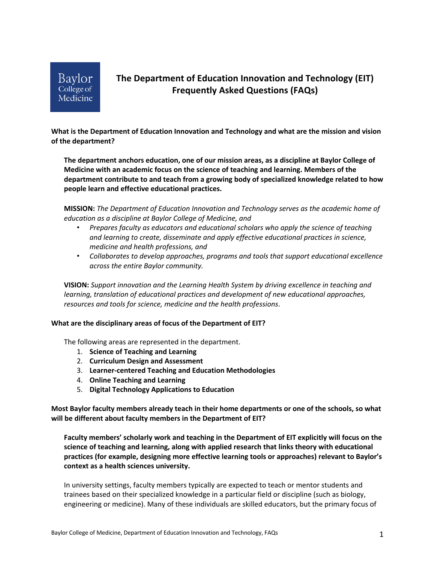

# **The Department of Education Innovation and Technology (EIT) Frequently Asked Questions (FAQs)**

**What is the Department of Education Innovation and Technology and what are the mission and vision of the department?** 

**The department anchors education, one of our mission areas, as a discipline at Baylor College of Medicine with an academic focus on the science of teaching and learning. Members of the department contribute to and teach from a growing body of specialized knowledge related to how people learn and effective educational practices.**

**MISSION:** *The Department of Education Innovation and Technology serves as the academic home of education as a discipline at Baylor College of Medicine, and*

- *Prepares faculty as educators and educational scholars who apply the science of teaching and learning to create, disseminate and apply effective educational practices in science, medicine and health professions, and*
- *Collaborates to develop approaches, programs and tools that support educational excellence across the entire Baylor community.*

**VISION:** *Support innovation and the Learning Health System by driving excellence in teaching and learning, translation of educational practices and development of new educational approaches, resources and tools for science, medicine and the health professions*.

#### **What are the disciplinary areas of focus of the Department of EIT?**

The following areas are represented in the department.

- 1. **Science of Teaching and Learning**
- 2. **Curriculum Design and Assessment**
- 3. **Learner-centered Teaching and Education Methodologies**
- 4. **Online Teaching and Learning**
- 5. **Digital Technology Applications to Education**

**Most Baylor faculty members already teach in their home departments or one of the schools, so what will be different about faculty members in the Department of EIT?**

**Faculty members' scholarly work and teaching in the Department of EIT explicitly will focus on the science of teaching and learning, along with applied research that links theory with educational practices (for example, designing more effective learning tools or approaches) relevant to Baylor's context as a health sciences university.**

In university settings, faculty members typically are expected to teach or mentor students and trainees based on their specialized knowledge in a particular field or discipline (such as biology, engineering or medicine). Many of these individuals are skilled educators, but the primary focus of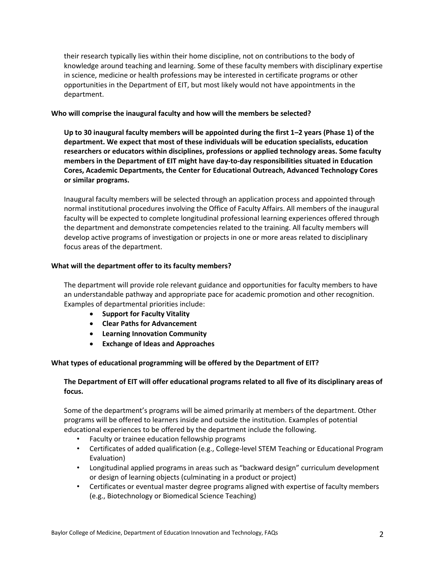their research typically lies within their home discipline, not on contributions to the body of knowledge around teaching and learning. Some of these faculty members with disciplinary expertise in science, medicine or health professions may be interested in certificate programs or other opportunities in the Department of EIT, but most likely would not have appointments in the department.

## **Who will comprise the inaugural faculty and how will the members be selected?**

**Up to 30 inaugural faculty members will be appointed during the first 1–2 years (Phase 1) of the department. We expect that most of these individuals will be education specialists, education researchers or educators within disciplines, professions or applied technology areas. Some faculty members in the Department of EIT might have day-to-day responsibilities situated in Education Cores, Academic Departments, the Center for Educational Outreach, Advanced Technology Cores or similar programs.** 

Inaugural faculty members will be selected through an application process and appointed through normal institutional procedures involving the Office of Faculty Affairs. All members of the inaugural faculty will be expected to complete longitudinal professional learning experiences offered through the department and demonstrate competencies related to the training. All faculty members will develop active programs of investigation or projects in one or more areas related to disciplinary focus areas of the department.

## **What will the department offer to its faculty members?**

The department will provide role relevant guidance and opportunities for faculty members to have an understandable pathway and appropriate pace for academic promotion and other recognition. Examples of departmental priorities include:

- **Support for Faculty Vitality**
- **Clear Paths for Advancement**
- **Learning Innovation Community**
- **Exchange of Ideas and Approaches**

## **What types of educational programming will be offered by the Department of EIT?**

# **The Department of EIT will offer educational programs related to all five of its disciplinary areas of focus.**

Some of the department's programs will be aimed primarily at members of the department. Other programs will be offered to learners inside and outside the institution. Examples of potential educational experiences to be offered by the department include the following.

- Faculty or trainee education fellowship programs
- Certificates of added qualification (e.g., College-level STEM Teaching or Educational Program Evaluation)
- Longitudinal applied programs in areas such as "backward design" curriculum development or design of learning objects (culminating in a product or project)
- Certificates or eventual master degree programs aligned with expertise of faculty members (e.g., Biotechnology or Biomedical Science Teaching)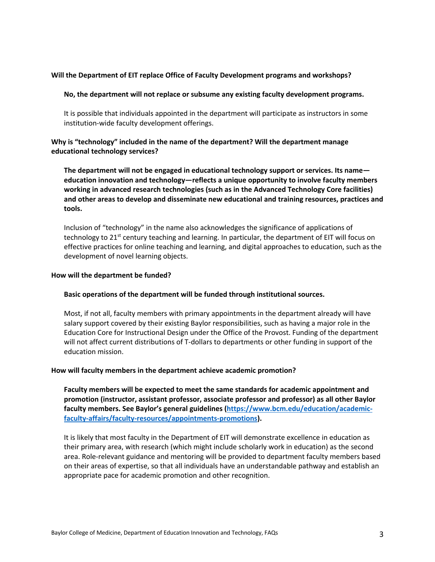## **Will the Department of EIT replace Office of Faculty Development programs and workshops?**

#### **No, the department will not replace or subsume any existing faculty development programs.**

It is possible that individuals appointed in the department will participate as instructors in some institution-wide faculty development offerings.

## **Why is "technology" included in the name of the department? Will the department manage educational technology services?**

**The department will not be engaged in educational technology support or services. Its name education innovation and technology—reflects a unique opportunity to involve faculty members working in advanced research technologies (such as in the Advanced Technology Core facilities) and other areas to develop and disseminate new educational and training resources, practices and tools.**

Inclusion of "technology" in the name also acknowledges the significance of applications of technology to 21<sup>st</sup> century teaching and learning. In particular, the department of EIT will focus on effective practices for online teaching and learning, and digital approaches to education, such as the development of novel learning objects.

#### **How will the department be funded?**

#### **Basic operations of the department will be funded through institutional sources.**

Most, if not all, faculty members with primary appointments in the department already will have salary support covered by their existing Baylor responsibilities, such as having a major role in the Education Core for Instructional Design under the Office of the Provost. Funding of the department will not affect current distributions of T-dollars to departments or other funding in support of the education mission.

#### **How will faculty members in the department achieve academic promotion?**

**Faculty members will be expected to meet the same standards for academic appointment and promotion (instructor, assistant professor, associate professor and professor) as all other Baylor faculty members. See Baylor's general guidelines (https://www.bcm.edu/education/academicfaculty-affairs/faculty-resources/appointments-promotions).**

It is likely that most faculty in the Department of EIT will demonstrate excellence in education as their primary area, with research (which might include scholarly work in education) as the second area. Role-relevant guidance and mentoring will be provided to department faculty members based on their areas of expertise, so that all individuals have an understandable pathway and establish an appropriate pace for academic promotion and other recognition.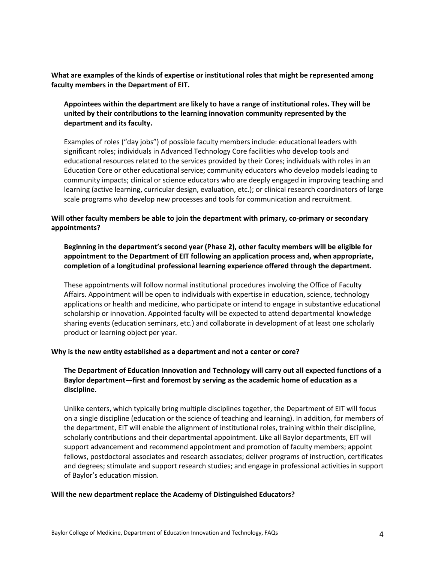**What are examples of the kinds of expertise or institutional roles that might be represented among faculty members in the Department of EIT.**

**Appointees within the department are likely to have a range of institutional roles. They will be united by their contributions to the learning innovation community represented by the department and its faculty.** 

Examples of roles ("day jobs") of possible faculty members include: educational leaders with significant roles; individuals in Advanced Technology Core facilities who develop tools and educational resources related to the services provided by their Cores; individuals with roles in an Education Core or other educational service; community educators who develop models leading to community impacts; clinical or science educators who are deeply engaged in improving teaching and learning (active learning, curricular design, evaluation, etc.); or clinical research coordinators of large scale programs who develop new processes and tools for communication and recruitment.

# **Will other faculty members be able to join the department with primary, co-primary or secondary appointments?**

# **Beginning in the department's second year (Phase 2), other faculty members will be eligible for appointment to the Department of EIT following an application process and, when appropriate, completion of a longitudinal professional learning experience offered through the department.**

These appointments will follow normal institutional procedures involving the Office of Faculty Affairs. Appointment will be open to individuals with expertise in education, science, technology applications or health and medicine, who participate or intend to engage in substantive educational scholarship or innovation. Appointed faculty will be expected to attend departmental knowledge sharing events (education seminars, etc.) and collaborate in development of at least one scholarly product or learning object per year.

## **Why is the new entity established as a department and not a center or core?**

# **The Department of Education Innovation and Technology will carry out all expected functions of a Baylor department—first and foremost by serving as the academic home of education as a discipline.**

Unlike centers, which typically bring multiple disciplines together, the Department of EIT will focus on a single discipline (education or the science of teaching and learning). In addition, for members of the department, EIT will enable the alignment of institutional roles, training within their discipline, scholarly contributions and their departmental appointment. Like all Baylor departments, EIT will support advancement and recommend appointment and promotion of faculty members; appoint fellows, postdoctoral associates and research associates; deliver programs of instruction, certificates and degrees; stimulate and support research studies; and engage in professional activities in support of Baylor's education mission.

#### **Will the new department replace the Academy of Distinguished Educators?**